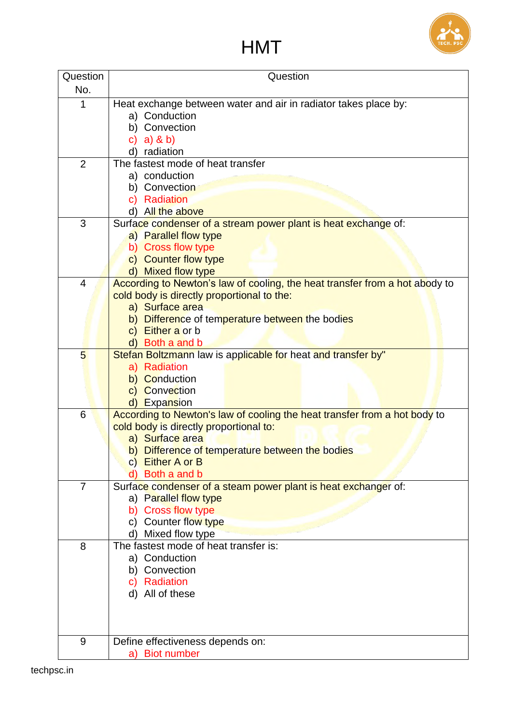

## HMT

| Question       | Question                                                                    |
|----------------|-----------------------------------------------------------------------------|
| No.            |                                                                             |
|                |                                                                             |
| 1              | Heat exchange between water and air in radiator takes place by:             |
|                | a) Conduction                                                               |
|                | b) Convection                                                               |
|                | a) & b)<br>$\mathbf{C}$                                                     |
|                | d) radiation                                                                |
| $\overline{2}$ | The fastest mode of heat transfer                                           |
|                | a) conduction                                                               |
|                | b) Convection                                                               |
|                | c) Radiation                                                                |
|                | d) All the above                                                            |
| 3              | Surface condenser of a stream power plant is heat exchange of:              |
|                | a) Parallel flow type                                                       |
|                | b) Cross flow type                                                          |
|                | c) Counter flow type                                                        |
|                | d) Mixed flow type                                                          |
| $\overline{4}$ | According to Newton's law of cooling, the heat transfer from a hot abody to |
|                | cold body is directly proportional to the:                                  |
|                | a) Surface area                                                             |
|                | b) Difference of temperature between the bodies                             |
|                | c) Either a or b                                                            |
|                | d) Both a and b                                                             |
| 5              | Stefan Boltzmann law is applicable for heat and transfer by"                |
|                | a) Radiation                                                                |
|                | b) Conduction                                                               |
|                | c) Convection                                                               |
|                | d) Expansion                                                                |
| 6              | According to Newton's law of cooling the heat transfer from a hot body to   |
|                | cold body is directly proportional to:                                      |
|                | a) Surface area                                                             |
|                | b) Difference of temperature between the bodies                             |
|                | c) Either A or B                                                            |
|                | Both a and b                                                                |
| $\overline{7}$ | Surface condenser of a steam power plant is heat exchanger of:              |
|                | a) Parallel flow type                                                       |
|                | <b>Cross flow type</b><br>b)                                                |
|                | Counter flow type<br>C)                                                     |
|                | d) Mixed flow type                                                          |
| 8              | The fastest mode of heat transfer is:                                       |
|                | a) Conduction                                                               |
|                | b) Convection                                                               |
|                | Radiation<br>C)                                                             |
|                | All of these<br>d)                                                          |
|                |                                                                             |
|                |                                                                             |
|                |                                                                             |
| 9              | Define effectiveness depends on:                                            |
|                | a) Biot number                                                              |
|                |                                                                             |